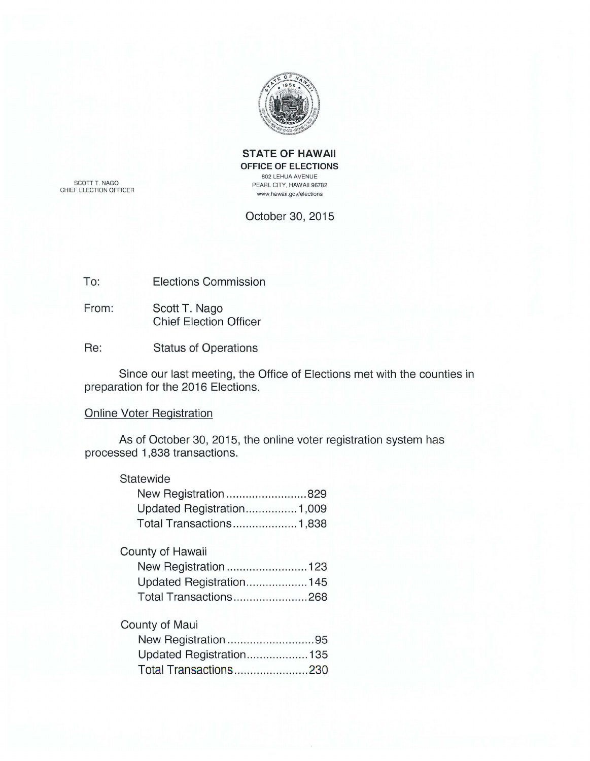

**STATE OF HAWAII OFFICE OF ELECTIONS**  802 LEHUA AVENUE PEARL CITY, HAWAII 96782 www.hawaii .gov/elections

SCOTT T. NAGO CHIEF ELECTION OFFICER

October 30, 2015

To: Elections Commission

From: Scott T. Nago Chief Election Officer

Re: Status of Operations

Since our last meeting, the Office of Elections met with the counties in preparation for the 2016 Elections.

## Online Voter Registration

As of October 30, 2015, the online voter registration system has processed 1 ,838 transactions.

## **Statewide**

| New Registration829       |  |
|---------------------------|--|
| Updated Registration1,009 |  |
| Total Transactions1,838   |  |

# County of Hawaii

| New Registration123     |
|-------------------------|
| Updated Registration145 |
| Total Transactions268   |

# County of Maui

| New Registration95       |  |
|--------------------------|--|
| Updated Registration 135 |  |
| Total Transactions230    |  |